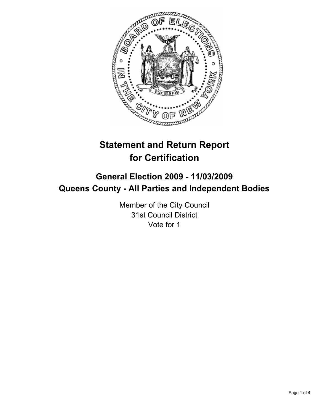

# **Statement and Return Report for Certification**

# **General Election 2009 - 11/03/2009 Queens County - All Parties and Independent Bodies**

Member of the City Council 31st Council District Vote for 1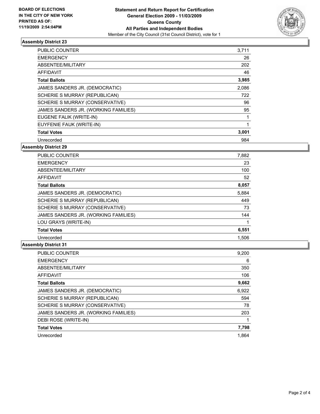

#### **Assembly District 23**

| <b>PUBLIC COUNTER</b>                | 3,711 |
|--------------------------------------|-------|
| <b>EMERGENCY</b>                     | 26    |
| ABSENTEE/MILITARY                    | 202   |
| <b>AFFIDAVIT</b>                     | 46    |
| <b>Total Ballots</b>                 | 3,985 |
| JAMES SANDERS JR. (DEMOCRATIC)       | 2,086 |
| SCHERIE S MURRAY (REPUBLICAN)        | 722   |
| SCHERIE S MURRAY (CONSERVATIVE)      | 96    |
| JAMES SANDERS JR. (WORKING FAMILIES) | 95    |
| EUGENE FALIK (WRITE-IN)              | 1     |
| EUYFENIE FAUK (WRITE-IN)             | 1     |
| <b>Total Votes</b>                   | 3,001 |
| Unrecorded                           | 984   |

## **Assembly District 29**

| <b>PUBLIC COUNTER</b>                | 7,882 |
|--------------------------------------|-------|
| <b>EMERGENCY</b>                     | 23    |
| ABSENTEE/MILITARY                    | 100   |
| <b>AFFIDAVIT</b>                     | 52    |
| <b>Total Ballots</b>                 | 8,057 |
| JAMES SANDERS JR. (DEMOCRATIC)       | 5,884 |
| SCHERIE S MURRAY (REPUBLICAN)        | 449   |
| SCHERIE S MURRAY (CONSERVATIVE)      | 73    |
| JAMES SANDERS JR. (WORKING FAMILIES) | 144   |
| LOU GRAYS (WRITE-IN)                 |       |
| <b>Total Votes</b>                   | 6,551 |
| Unrecorded                           | 1,506 |

## **Assembly District 31**

| <b>PUBLIC COUNTER</b>                | 9,200 |
|--------------------------------------|-------|
| <b>EMERGENCY</b>                     | 6     |
| ABSENTEE/MILITARY                    | 350   |
| <b>AFFIDAVIT</b>                     | 106   |
| <b>Total Ballots</b>                 | 9,662 |
| JAMES SANDERS JR. (DEMOCRATIC)       | 6,922 |
| SCHERIE S MURRAY (REPUBLICAN)        | 594   |
| SCHERIE S MURRAY (CONSERVATIVE)      | 78    |
| JAMES SANDERS JR. (WORKING FAMILIES) | 203   |
| DEBI ROSE (WRITE-IN)                 |       |
| <b>Total Votes</b>                   | 7,798 |
| Unrecorded                           | 1.864 |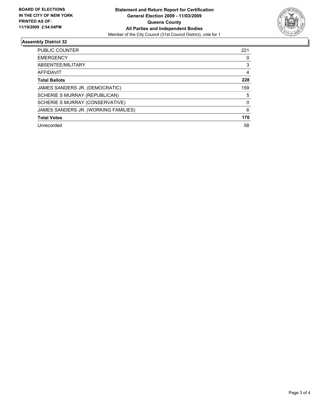

## **Assembly District 32**

| <b>PUBLIC COUNTER</b>                | 221 |
|--------------------------------------|-----|
| <b>EMERGENCY</b>                     | 0   |
| ABSENTEE/MILITARY                    | 3   |
| <b>AFFIDAVIT</b>                     | 4   |
| <b>Total Ballots</b>                 | 228 |
| JAMES SANDERS JR. (DEMOCRATIC)       | 159 |
| SCHERIE S MURRAY (REPUBLICAN)        | 5   |
| SCHERIE S MURRAY (CONSERVATIVE)      | 0   |
| JAMES SANDERS JR. (WORKING FAMILIES) | 6   |
| <b>Total Votes</b>                   | 170 |
| Unrecorded                           | 58  |